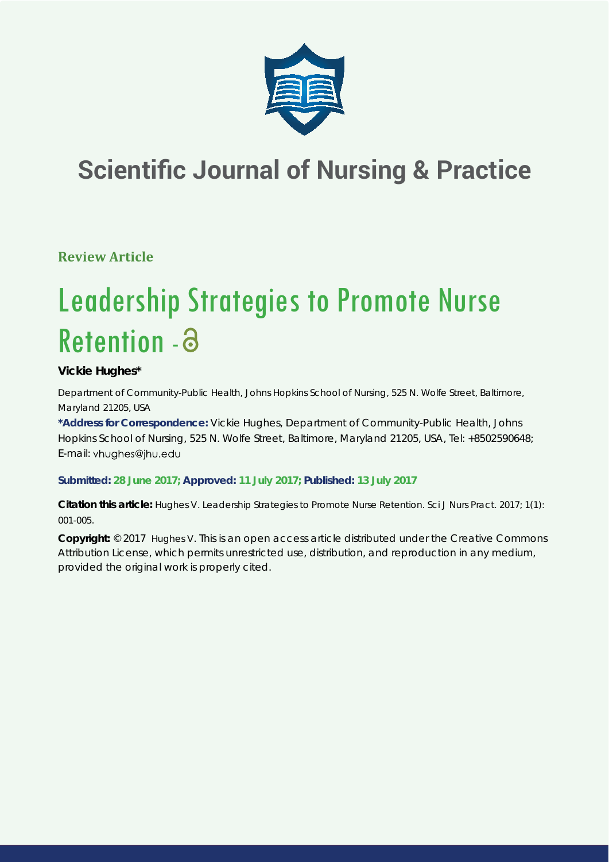

# **Scientific Journal of Nursing & Practice**

**Review Article**

# Leadership Strategies to Promote Nurse Retention - a

# **Vickie Hughes\***

*Department of Community-Public Health, Johns Hopkins School of Nursing, 525 N. Wolfe Street, Baltimore, Maryland 21205, USA*

**\*Address for Correspondence:** Vickie Hughes, Department of Community-Public Health, Johns Hopkins School of Nursing, 525 N. Wolfe Street, Baltimore, Maryland 21205, USA, Tel: +8502590648; E-mail: vhughes@jhu.edu

**Submitted: 28 June 2017; Approved: 11 July 2017; Published: 13 July 2017**

**Citation this article:** Hughes V. Leadership Strategies to Promote Nurse Retention. Sci J Nurs Pract. 2017; 1(1): 001-005.

**Copyright:** © 2017 Hughes V. This is an open access article distributed under the Creative Commons Attribution License, which permits unrestricted use, distribution, and reproduction in any medium, provided the original work is properly cited.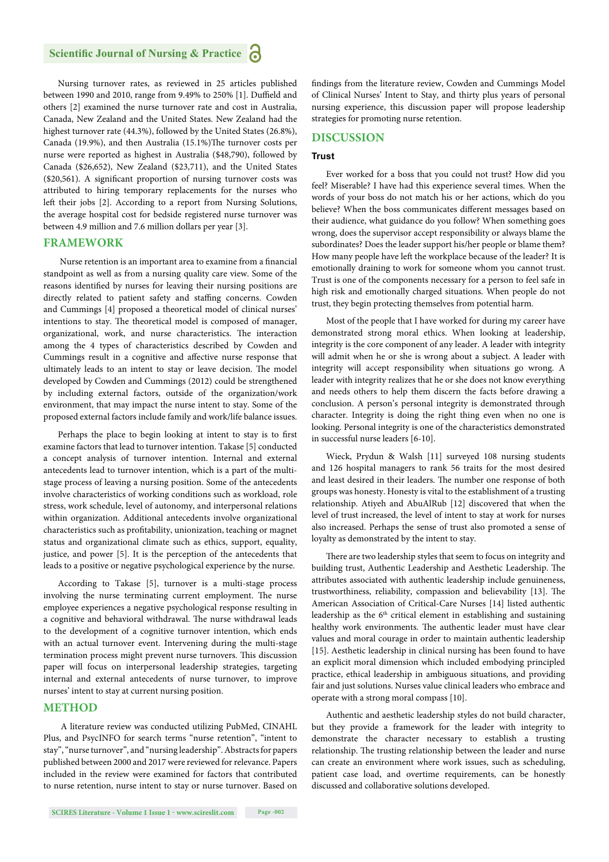Nursing turnover rates, as reviewed in 25 articles published between 1990 and 2010, range from 9.49% to 250% [1]. Duffield and others [2] examined the nurse turnover rate and cost in Australia, Canada, New Zealand and the United States. New Zealand had the highest turnover rate (44.3%), followed by the United States (26.8%), Canada (19.9%), and then Australia (15.1%)The turnover costs per nurse were reported as highest in Australia (\$48,790), followed by Canada (\$26,652), New Zealand (\$23,711), and the United States ( $$20,561$ ). A significant proportion of nursing turnover costs was attributed to hiring temporary replacements for the nurses who left their jobs [2]. According to a report from Nursing Solutions, the average hospital cost for bedside registered nurse turnover was between 4.9 million and 7.6 million dollars per year [3].

# **FRAMEWORK**

Nurse retention is an important area to examine from a financial standpoint as well as from a nursing quality care view. Some of the reasons identified by nurses for leaving their nursing positions are directly related to patient safety and staffing concerns. Cowden and Cummings [4] proposed a theoretical model of clinical nurses' intentions to stay. The theoretical model is composed of manager, organizational, work, and nurse characteristics. The interaction among the 4 types of characteristics described by Cowden and Cummings result in a cognitive and affective nurse response that ultimately leads to an intent to stay or leave decision. The model developed by Cowden and Cummings (2012) could be strengthened by including external factors, outside of the organization/work environment, that may impact the nurse intent to stay. Some of the proposed external factors include family and work/life balance issues.

Perhaps the place to begin looking at intent to stay is to first examine factors that lead to turnover intention. Takase [5] conducted a concept analysis of turnover intention. Internal and external antecedents lead to turnover intention, which is a part of the multistage process of leaving a nursing position. Some of the antecedents involve characteristics of working conditions such as workload, role stress, work schedule, level of autonomy, and interpersonal relations within organization. Additional antecedents involve organizational characteristics such as profitability, unionization, teaching or magnet status and organizational climate such as ethics, support, equality, justice, and power [5]. It is the perception of the antecedents that leads to a positive or negative psychological experience by the nurse.

According to Takase [5], turnover is a multi-stage process involving the nurse terminating current employment. The nurse employee experiences a negative psychological response resulting in a cognitive and behavioral withdrawal. The nurse withdrawal leads to the development of a cognitive turnover intention, which ends with an actual turnover event. Intervening during the multi-stage termination process might prevent nurse turnovers. This discussion paper will focus on interpersonal leadership strategies, targeting internal and external antecedents of nurse turnover, to improve nurses' intent to stay at current nursing position.

# **METHOD**

 A literature review was conducted utilizing PubMed, CINAHL Plus, and PsycINFO for search terms "nurse retention", "intent to stay", "nurse turnover", and "nursing leadership". Abstracts for papers published between 2000 and 2017 were reviewed for relevance. Papers included in the review were examined for factors that contributed to nurse retention, nurse intent to stay or nurse turnover. Based on

findings from the literature review, Cowden and Cummings Model of Clinical Nurses' Intent to Stay, and thirty plus years of personal nursing experience, this discussion paper will propose leadership strategies for promoting nurse retention.

# **DISCUSSION**

#### **Trust**

Ever worked for a boss that you could not trust? How did you feel? Miserable? I have had this experience several times. When the words of your boss do not match his or her actions, which do you believe? When the boss communicates different messages based on their audience, what guidance do you follow? When something goes wrong, does the supervisor accept responsibility or always blame the subordinates? Does the leader support his/her people or blame them? How many people have left the workplace because of the leader? It is emotionally draining to work for someone whom you cannot trust. Trust is one of the components necessary for a person to feel safe in high risk and emotionally charged situations. When people do not trust, they begin protecting themselves from potential harm.

Most of the people that I have worked for during my career have demonstrated strong moral ethics. When looking at leadership, integrity is the core component of any leader. A leader with integrity will admit when he or she is wrong about a subject. A leader with integrity will accept responsibility when situations go wrong. A leader with integrity realizes that he or she does not know everything and needs others to help them discern the facts before drawing a conclusion. A person's personal integrity is demonstrated through character. Integrity is doing the right thing even when no one is looking. Personal integrity is one of the characteristics demonstrated in successful nurse leaders [6-10].

Wieck, Prydun & Walsh [11] surveyed 108 nursing students and 126 hospital managers to rank 56 traits for the most desired and least desired in their leaders. The number one response of both groups was honesty. Honesty is vital to the establishment of a trusting relationship. Atiyeh and AbuAlRub [12] discovered that when the level of trust increased, the level of intent to stay at work for nurses also increased. Perhaps the sense of trust also promoted a sense of loyalty as demonstrated by the intent to stay.

There are two leadership styles that seem to focus on integrity and building trust, Authentic Leadership and Aesthetic Leadership. The attributes associated with authentic leadership include genuineness, trustworthiness, reliability, compassion and believability [13]. The American Association of Critical-Care Nurses [14] listed authentic leadership as the  $6<sup>th</sup>$  critical element in establishing and sustaining healthy work environments. The authentic leader must have clear values and moral courage in order to maintain authentic leadership [15]. Aesthetic leadership in clinical nursing has been found to have an explicit moral dimension which included embodying principled practice, ethical leadership in ambiguous situations, and providing fair and just solutions. Nurses value clinical leaders who embrace and operate with a strong moral compass [10].

Authentic and aesthetic leadership styles do not build character, but they provide a framework for the leader with integrity to demonstrate the character necessary to establish a trusting relationship. The trusting relationship between the leader and nurse can create an environment where work issues, such as scheduling, patient case load, and overtime requirements, can be honestly discussed and collaborative solutions developed.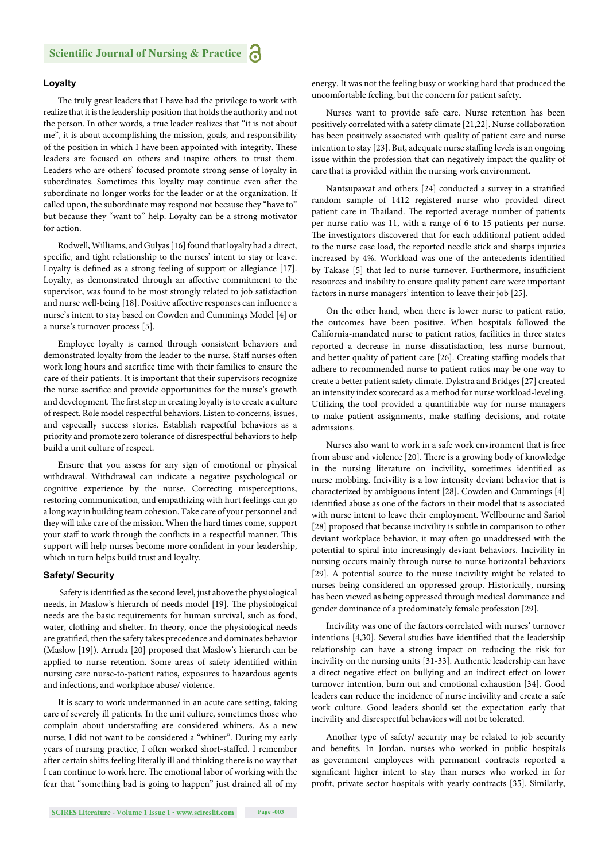# **Loyalty**

The truly great leaders that I have had the privilege to work with realize that it is the leadership position that holds the authority and not the person. In other words, a true leader realizes that "it is not about me", it is about accomplishing the mission, goals, and responsibility of the position in which I have been appointed with integrity. These leaders are focused on others and inspire others to trust them. Leaders who are others' focused promote strong sense of loyalty in subordinates. Sometimes this loyalty may continue even after the subordinate no longer works for the leader or at the organization. If called upon, the subordinate may respond not because they "have to" but because they "want to" help. Loyalty can be a strong motivator for action.

Rodwell, Williams, and Gulyas [16] found that loyalty had a direct, specific, and tight relationship to the nurses' intent to stay or leave. Loyalty is defined as a strong feeling of support or allegiance [17]. Loyalty, as demonstrated through an affective commitment to the supervisor, was found to be most strongly related to job satisfaction and nurse well-being [18]. Positive affective responses can influence a nurse's intent to stay based on Cowden and Cummings Model [4] or a nurse's turnover process [5].

Employee loyalty is earned through consistent behaviors and demonstrated loyalty from the leader to the nurse. Staff nurses often work long hours and sacrifice time with their families to ensure the care of their patients. It is important that their supervisors recognize the nurse sacrifice and provide opportunities for the nurse's growth and development. The first step in creating loyalty is to create a culture of respect. Role model respectful behaviors. Listen to concerns, issues, and especially success stories. Establish respectful behaviors as a priority and promote zero tolerance of disrespectful behaviors to help build a unit culture of respect.

Ensure that you assess for any sign of emotional or physical withdrawal. Withdrawal can indicate a negative psychological or cognitive experience by the nurse. Correcting misperceptions, restoring communication, and empathizing with hurt feelings can go a long way in building team cohesion. Take care of your personnel and they will take care of the mission. When the hard times come, support your staff to work through the conflicts in a respectful manner. This support will help nurses become more confident in your leadership, which in turn helps build trust and loyalty.

# **Safety/ Security**

Safety is identified as the second level, just above the physiological needs, in Maslow's hierarch of needs model [19]. The physiological needs are the basic requirements for human survival, such as food, water, clothing and shelter. In theory, once the physiological needs are gratified, then the safety takes precedence and dominates behavior (Maslow [19]). Arruda [20] proposed that Maslow's hierarch can be applied to nurse retention. Some areas of safety identified within nursing care nurse-to-patient ratios, exposures to hazardous agents and infections, and workplace abuse/ violence.

It is scary to work undermanned in an acute care setting, taking care of severely ill patients. In the unit culture, sometimes those who complain about understaffing are considered whiners. As a new nurse, I did not want to be considered a "whiner". During my early years of nursing practice, I often worked short-staffed. I remember after certain shifts feeling literally ill and thinking there is no way that I can continue to work here. The emotional labor of working with the fear that "something bad is going to happen" just drained all of my energy. It was not the feeling busy or working hard that produced the uncomfortable feeling, but the concern for patient safety.

Nurses want to provide safe care. Nurse retention has been positively correlated with a safety climate [21,22]. Nurse collaboration has been positively associated with quality of patient care and nurse intention to stay [23]. But, adequate nurse staffing levels is an ongoing issue within the profession that can negatively impact the quality of care that is provided within the nursing work environment.

Nantsupawat and others [24] conducted a survey in a stratified random sample of 1412 registered nurse who provided direct patient care in Thailand. The reported average number of patients per nurse ratio was 11, with a range of 6 to 15 patients per nurse. The investigators discovered that for each additional patient added to the nurse case load, the reported needle stick and sharps injuries increased by 4%. Workload was one of the antecedents identified by Takase [5] that led to nurse turnover. Furthermore, insufficient resources and inability to ensure quality patient care were important factors in nurse managers' intention to leave their job [25].

On the other hand, when there is lower nurse to patient ratio, the outcomes have been positive. When hospitals followed the California-mandated nurse to patient ratios, facilities in three states reported a decrease in nurse dissatisfaction, less nurse burnout, and better quality of patient care [26]. Creating staffing models that adhere to recommended nurse to patient ratios may be one way to create a better patient safety climate. Dykstra and Bridges [27] created an intensity index scorecard as a method for nurse workload-leveling. Utilizing the tool provided a quantifiable way for nurse managers to make patient assignments, make staffing decisions, and rotate admissions.

Nurses also want to work in a safe work environment that is free from abuse and violence [20]. There is a growing body of knowledge in the nursing literature on incivility, sometimes identified as nurse mobbing. Incivility is a low intensity deviant behavior that is characterized by ambiguous intent [28]. Cowden and Cummings [4] identified abuse as one of the factors in their model that is associated with nurse intent to leave their employment. Wellbourne and Sariol [28] proposed that because incivility is subtle in comparison to other deviant workplace behavior, it may often go unaddressed with the potential to spiral into increasingly deviant behaviors. Incivility in nursing occurs mainly through nurse to nurse horizontal behaviors [29]. A potential source to the nurse incivility might be related to nurses being considered an oppressed group. Historically, nursing has been viewed as being oppressed through medical dominance and gender dominance of a predominately female profession [29].

Incivility was one of the factors correlated with nurses' turnover intentions [4,30]. Several studies have identified that the leadership relationship can have a strong impact on reducing the risk for incivility on the nursing units [31-33]. Authentic leadership can have a direct negative effect on bullying and an indirect effect on lower turnover intention, burn out and emotional exhaustion [34]. Good leaders can reduce the incidence of nurse incivility and create a safe work culture. Good leaders should set the expectation early that incivility and disrespectful behaviors will not be tolerated.

Another type of safety/ security may be related to job security and benefits. In Jordan, nurses who worked in public hospitals as government employees with permanent contracts reported a significant higher intent to stay than nurses who worked in for profit, private sector hospitals with yearly contracts [35]. Similarly,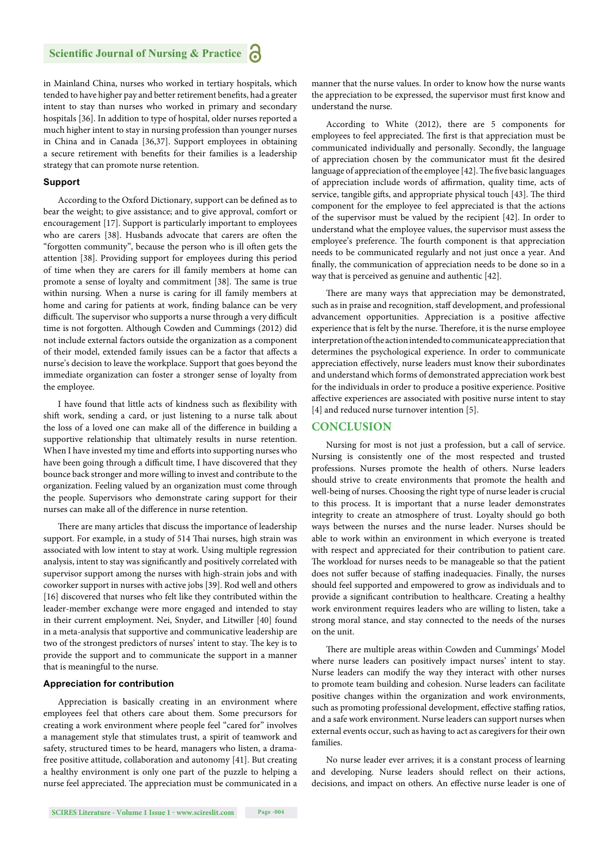in Mainland China, nurses who worked in tertiary hospitals, which tended to have higher pay and better retirement benefits, had a greater intent to stay than nurses who worked in primary and secondary hospitals [36]. In addition to type of hospital, older nurses reported a much higher intent to stay in nursing profession than younger nurses in China and in Canada [36,37]. Support employees in obtaining a secure retirement with benefits for their families is a leadership strategy that can promote nurse retention.

#### **Support**

According to the Oxford Dictionary, support can be defined as to bear the weight; to give assistance; and to give approval, comfort or encouragement [17]. Support is particularly important to employees who are carers [38]. Husbands advocate that carers are often the "forgotten community", because the person who is ill often gets the attention [38]. Providing support for employees during this period of time when they are carers for ill family members at home can promote a sense of loyalty and commitment [38]. The same is true within nursing. When a nurse is caring for ill family members at home and caring for patients at work, finding balance can be very difficult. The supervisor who supports a nurse through a very difficult time is not forgotten. Although Cowden and Cummings (2012) did not include external factors outside the organization as a component of their model, extended family issues can be a factor that affects a nurse's decision to leave the workplace. Support that goes beyond the immediate organization can foster a stronger sense of loyalty from the employee.

I have found that little acts of kindness such as flexibility with shift work, sending a card, or just listening to a nurse talk about the loss of a loved one can make all of the difference in building a supportive relationship that ultimately results in nurse retention. When I have invested my time and efforts into supporting nurses who have been going through a difficult time, I have discovered that they bounce back stronger and more willing to invest and contribute to the organization. Feeling valued by an organization must come through the people. Supervisors who demonstrate caring support for their nurses can make all of the difference in nurse retention.

There are many articles that discuss the importance of leadership support. For example, in a study of 514 Thai nurses, high strain was associated with low intent to stay at work. Using multiple regression analysis, intent to stay was significantly and positively correlated with supervisor support among the nurses with high-strain jobs and with coworker support in nurses with active jobs [39]. Rod well and others [16] discovered that nurses who felt like they contributed within the leader-member exchange were more engaged and intended to stay in their current employment. Nei, Snyder, and Litwiller [40] found in a meta-analysis that supportive and communicative leadership are two of the strongest predictors of nurses' intent to stay. The key is to provide the support and to communicate the support in a manner that is meaningful to the nurse.

# **Appreciation for contribution**

Appreciation is basically creating in an environment where employees feel that others care about them. Some precursors for creating a work environment where people feel "cared for" involves a management style that stimulates trust, a spirit of teamwork and safety, structured times to be heard, managers who listen, a dramafree positive attitude, collaboration and autonomy [41]. But creating a healthy environment is only one part of the puzzle to helping a nurse feel appreciated. The appreciation must be communicated in a manner that the nurse values. In order to know how the nurse wants the appreciation to be expressed, the supervisor must first know and understand the nurse.

According to White (2012), there are 5 components for employees to feel appreciated. The first is that appreciation must be communicated individually and personally. Secondly, the language of appreciation chosen by the communicator must fit the desired language of appreciation of the employee [42]. The five basic languages of appreciation include words of affirmation, quality time, acts of service, tangible gifts, and appropriate physical touch [43]. The third component for the employee to feel appreciated is that the actions of the supervisor must be valued by the recipient [42]. In order to understand what the employee values, the supervisor must assess the employee's preference. The fourth component is that appreciation needs to be communicated regularly and not just once a year. And finally, the communication of appreciation needs to be done so in a way that is perceived as genuine and authentic [42].

There are many ways that appreciation may be demonstrated, such as in praise and recognition, staff development, and professional advancement opportunities. Appreciation is a positive affective experience that is felt by the nurse. Therefore, it is the nurse employee interpretation of the action intended to communicate appreciation that determines the psychological experience. In order to communicate appreciation effectively, nurse leaders must know their subordinates and understand which forms of demonstrated appreciation work best for the individuals in order to produce a positive experience. Positive affective experiences are associated with positive nurse intent to stay [4] and reduced nurse turnover intention [5].

# **CONCLUSION**

Nursing for most is not just a profession, but a call of service. Nursing is consistently one of the most respected and trusted professions. Nurses promote the health of others. Nurse leaders should strive to create environments that promote the health and well-being of nurses. Choosing the right type of nurse leader is crucial to this process. It is important that a nurse leader demonstrates integrity to create an atmosphere of trust. Loyalty should go both ways between the nurses and the nurse leader. Nurses should be able to work within an environment in which everyone is treated with respect and appreciated for their contribution to patient care. The workload for nurses needs to be manageable so that the patient does not suffer because of staffing inadequacies. Finally, the nurses should feel supported and empowered to grow as individuals and to provide a significant contribution to healthcare. Creating a healthy work environment requires leaders who are willing to listen, take a strong moral stance, and stay connected to the needs of the nurses on the unit.

There are multiple areas within Cowden and Cummings' Model where nurse leaders can positively impact nurses' intent to stay. Nurse leaders can modify the way they interact with other nurses to promote team building and cohesion. Nurse leaders can facilitate positive changes within the organization and work environments, such as promoting professional development, effective staffing ratios, and a safe work environment. Nurse leaders can support nurses when external events occur, such as having to act as caregivers for their own families.

No nurse leader ever arrives; it is a constant process of learning and developing. Nurse leaders should reflect on their actions, decisions, and impact on others. An effective nurse leader is one of